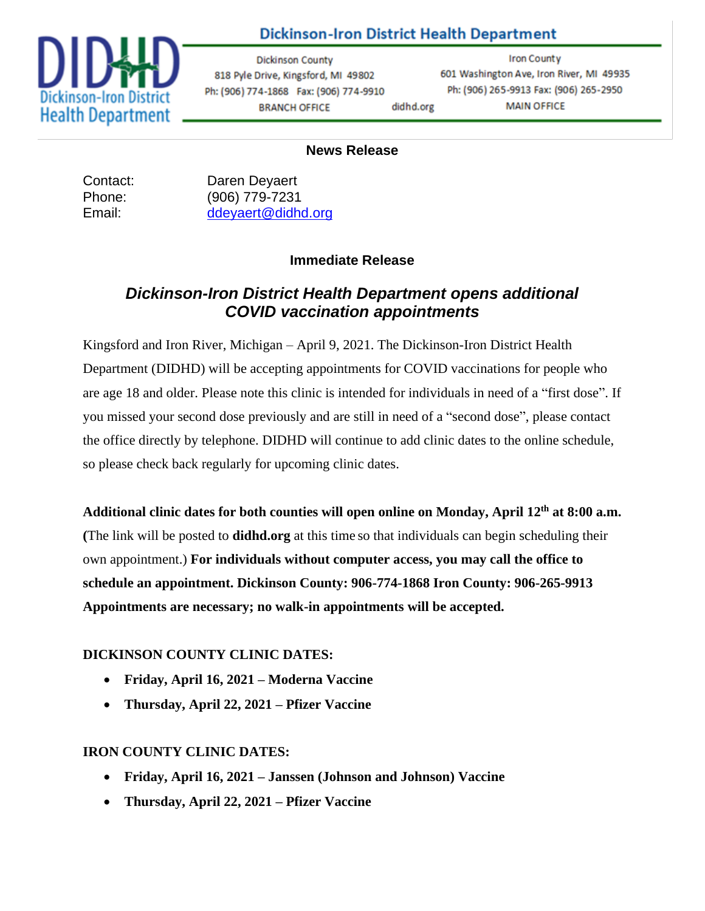

## **Dickinson-Iron District Health Department**

**Dickinson County** 818 Pyle Drive, Kingsford, MI 49802 Ph: (906) 774-1868 Fax: (906) 774-9910 **BRANCH OFFICE** didhd.org

**Iron County** 601 Washington Ave, Iron River, MI 49935 Ph: (906) 265-9913 Fax: (906) 265-2950 **MAIN OFFICE** 

#### **News Release**

Contact: Daren Deyaert Phone: (906) 779-7231 Email: [ddeyaert@didhd.org](mailto:ddeyaert@didhd.org)

### **Immediate Release**

## *Dickinson-Iron District Health Department opens additional COVID vaccination appointments*

Kingsford and Iron River, Michigan – April 9, 2021. The Dickinson-Iron District Health Department (DIDHD) will be accepting appointments for COVID vaccinations for people who are age 18 and older. Please note this clinic is intended for individuals in need of a "first dose". If you missed your second dose previously and are still in need of a "second dose", please contact the office directly by telephone. DIDHD will continue to add clinic dates to the online schedule, so please check back regularly for upcoming clinic dates.

**Additional clinic dates for both counties will open online on Monday, April 12th at 8:00 a.m. (**The link will be posted to **didhd.org** at this time so that individuals can begin scheduling their own appointment.) **For individuals without computer access, you may call the office to schedule an appointment. Dickinson County: 906-774-1868 Iron County: 906-265-9913 Appointments are necessary; no walk-in appointments will be accepted.**

### **DICKINSON COUNTY CLINIC DATES:**

- **Friday, April 16, 2021 – Moderna Vaccine**
- **Thursday, April 22, 2021 – Pfizer Vaccine**

#### **IRON COUNTY CLINIC DATES:**

- **Friday, April 16, 2021 – Janssen (Johnson and Johnson) Vaccine**
- **Thursday, April 22, 2021 – Pfizer Vaccine**